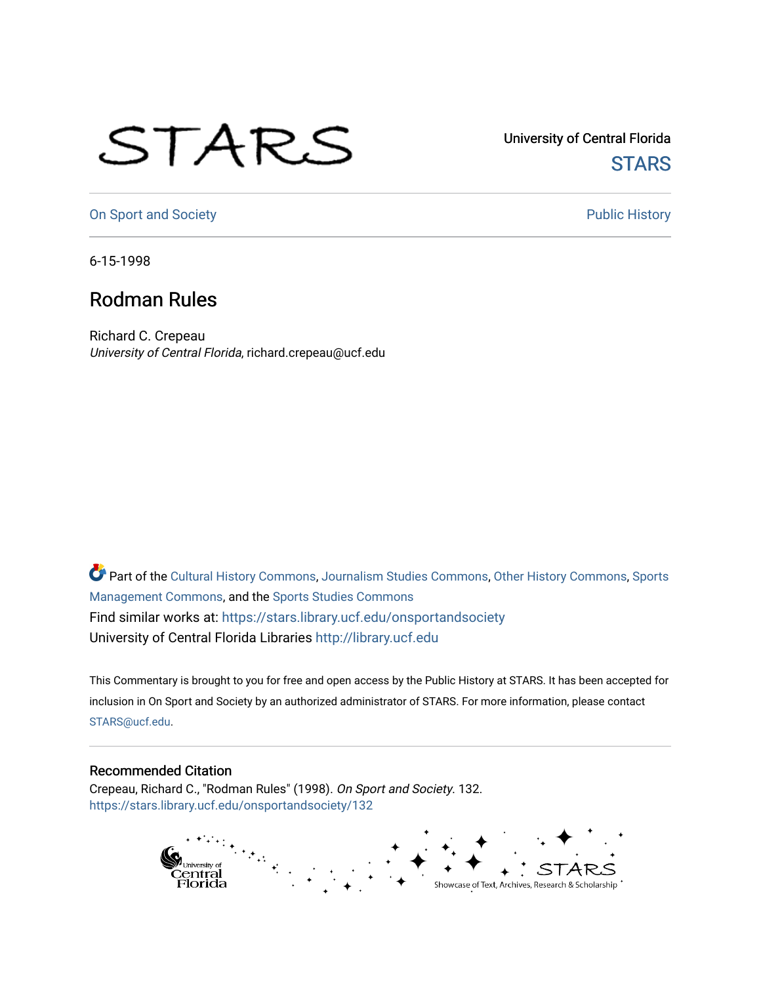## STARS

University of Central Florida **STARS** 

[On Sport and Society](https://stars.library.ucf.edu/onsportandsociety) **Public History** Public History

6-15-1998

## Rodman Rules

Richard C. Crepeau University of Central Florida, richard.crepeau@ucf.edu

Part of the [Cultural History Commons](http://network.bepress.com/hgg/discipline/496?utm_source=stars.library.ucf.edu%2Fonsportandsociety%2F132&utm_medium=PDF&utm_campaign=PDFCoverPages), [Journalism Studies Commons,](http://network.bepress.com/hgg/discipline/333?utm_source=stars.library.ucf.edu%2Fonsportandsociety%2F132&utm_medium=PDF&utm_campaign=PDFCoverPages) [Other History Commons,](http://network.bepress.com/hgg/discipline/508?utm_source=stars.library.ucf.edu%2Fonsportandsociety%2F132&utm_medium=PDF&utm_campaign=PDFCoverPages) [Sports](http://network.bepress.com/hgg/discipline/1193?utm_source=stars.library.ucf.edu%2Fonsportandsociety%2F132&utm_medium=PDF&utm_campaign=PDFCoverPages) [Management Commons](http://network.bepress.com/hgg/discipline/1193?utm_source=stars.library.ucf.edu%2Fonsportandsociety%2F132&utm_medium=PDF&utm_campaign=PDFCoverPages), and the [Sports Studies Commons](http://network.bepress.com/hgg/discipline/1198?utm_source=stars.library.ucf.edu%2Fonsportandsociety%2F132&utm_medium=PDF&utm_campaign=PDFCoverPages) Find similar works at: <https://stars.library.ucf.edu/onsportandsociety> University of Central Florida Libraries [http://library.ucf.edu](http://library.ucf.edu/) 

This Commentary is brought to you for free and open access by the Public History at STARS. It has been accepted for inclusion in On Sport and Society by an authorized administrator of STARS. For more information, please contact [STARS@ucf.edu](mailto:STARS@ucf.edu).

## Recommended Citation

Crepeau, Richard C., "Rodman Rules" (1998). On Sport and Society. 132. [https://stars.library.ucf.edu/onsportandsociety/132](https://stars.library.ucf.edu/onsportandsociety/132?utm_source=stars.library.ucf.edu%2Fonsportandsociety%2F132&utm_medium=PDF&utm_campaign=PDFCoverPages)

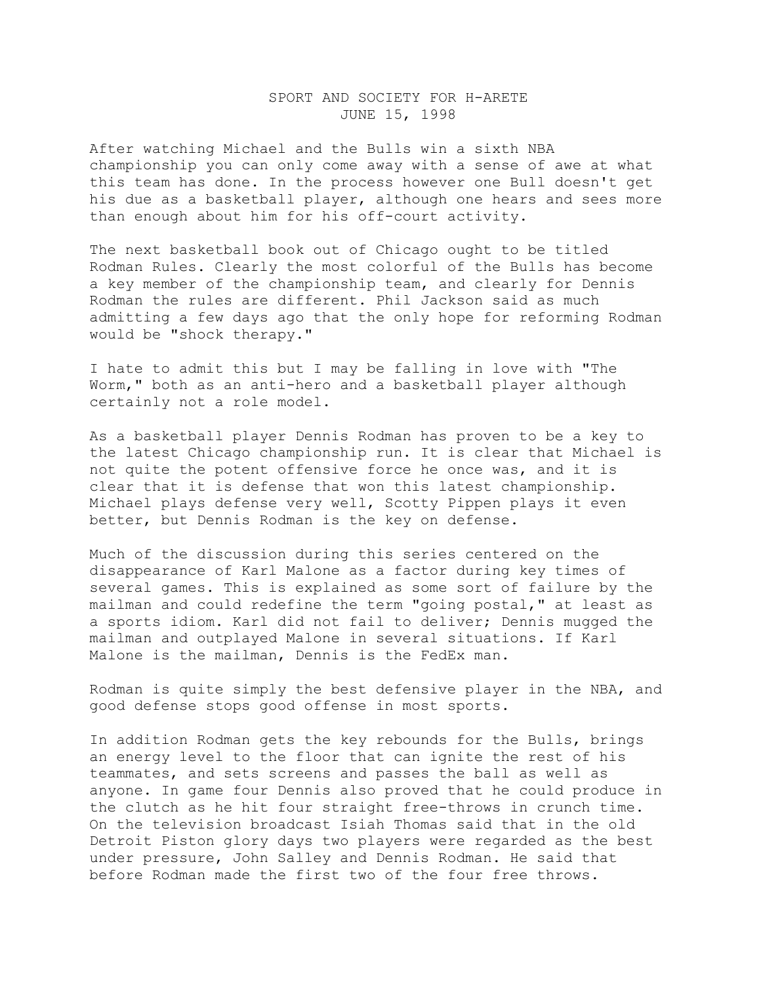## SPORT AND SOCIETY FOR H-ARETE JUNE 15, 1998

After watching Michael and the Bulls win a sixth NBA championship you can only come away with a sense of awe at what this team has done. In the process however one Bull doesn't get his due as a basketball player, although one hears and sees more than enough about him for his off-court activity.

The next basketball book out of Chicago ought to be titled Rodman Rules. Clearly the most colorful of the Bulls has become a key member of the championship team, and clearly for Dennis Rodman the rules are different. Phil Jackson said as much admitting a few days ago that the only hope for reforming Rodman would be "shock therapy."

I hate to admit this but I may be falling in love with "The Worm," both as an anti-hero and a basketball player although certainly not a role model.

As a basketball player Dennis Rodman has proven to be a key to the latest Chicago championship run. It is clear that Michael is not quite the potent offensive force he once was, and it is clear that it is defense that won this latest championship. Michael plays defense very well, Scotty Pippen plays it even better, but Dennis Rodman is the key on defense.

Much of the discussion during this series centered on the disappearance of Karl Malone as a factor during key times of several games. This is explained as some sort of failure by the mailman and could redefine the term "going postal," at least as a sports idiom. Karl did not fail to deliver; Dennis mugged the mailman and outplayed Malone in several situations. If Karl Malone is the mailman, Dennis is the FedEx man.

Rodman is quite simply the best defensive player in the NBA, and good defense stops good offense in most sports.

In addition Rodman gets the key rebounds for the Bulls, brings an energy level to the floor that can ignite the rest of his teammates, and sets screens and passes the ball as well as anyone. In game four Dennis also proved that he could produce in the clutch as he hit four straight free-throws in crunch time. On the television broadcast Isiah Thomas said that in the old Detroit Piston glory days two players were regarded as the best under pressure, John Salley and Dennis Rodman. He said that before Rodman made the first two of the four free throws.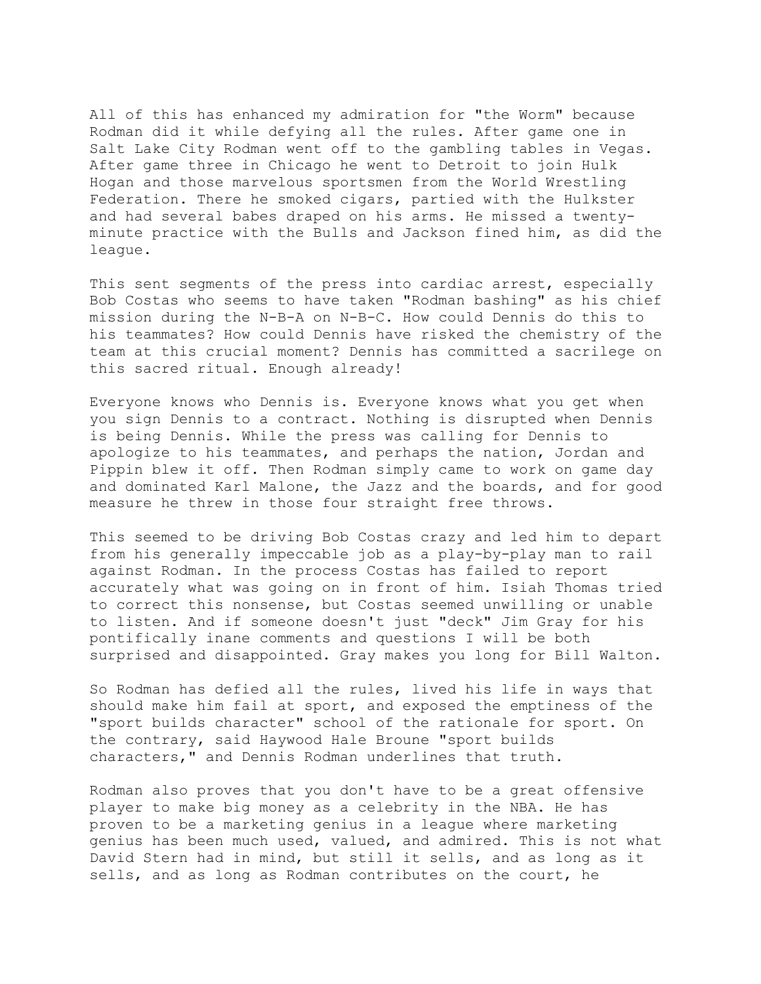All of this has enhanced my admiration for "the Worm" because Rodman did it while defying all the rules. After game one in Salt Lake City Rodman went off to the gambling tables in Vegas. After game three in Chicago he went to Detroit to join Hulk Hogan and those marvelous sportsmen from the World Wrestling Federation. There he smoked cigars, partied with the Hulkster and had several babes draped on his arms. He missed a twentyminute practice with the Bulls and Jackson fined him, as did the league.

This sent segments of the press into cardiac arrest, especially Bob Costas who seems to have taken "Rodman bashing" as his chief mission during the N-B-A on N-B-C. How could Dennis do this to his teammates? How could Dennis have risked the chemistry of the team at this crucial moment? Dennis has committed a sacrilege on this sacred ritual. Enough already!

Everyone knows who Dennis is. Everyone knows what you get when you sign Dennis to a contract. Nothing is disrupted when Dennis is being Dennis. While the press was calling for Dennis to apologize to his teammates, and perhaps the nation, Jordan and Pippin blew it off. Then Rodman simply came to work on game day and dominated Karl Malone, the Jazz and the boards, and for good measure he threw in those four straight free throws.

This seemed to be driving Bob Costas crazy and led him to depart from his generally impeccable job as a play-by-play man to rail against Rodman. In the process Costas has failed to report accurately what was going on in front of him. Isiah Thomas tried to correct this nonsense, but Costas seemed unwilling or unable to listen. And if someone doesn't just "deck" Jim Gray for his pontifically inane comments and questions I will be both surprised and disappointed. Gray makes you long for Bill Walton.

So Rodman has defied all the rules, lived his life in ways that should make him fail at sport, and exposed the emptiness of the "sport builds character" school of the rationale for sport. On the contrary, said Haywood Hale Broune "sport builds characters," and Dennis Rodman underlines that truth.

Rodman also proves that you don't have to be a great offensive player to make big money as a celebrity in the NBA. He has proven to be a marketing genius in a league where marketing genius has been much used, valued, and admired. This is not what David Stern had in mind, but still it sells, and as long as it sells, and as long as Rodman contributes on the court, he